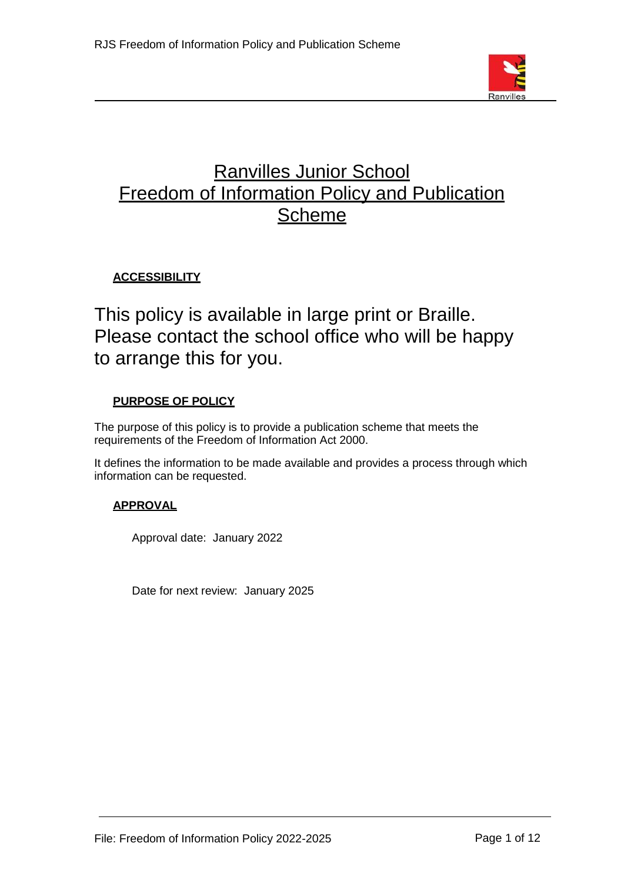

# Ranvilles Junior School Freedom of Information Policy and Publication Scheme

# **ACCESSIBILITY**

This policy is available in large print or Braille. Please contact the school office who will be happy to arrange this for you.

## **PURPOSE OF POLICY**

The purpose of this policy is to provide a publication scheme that meets the requirements of the Freedom of Information Act 2000.

It defines the information to be made available and provides a process through which information can be requested.

## **APPROVAL**

Approval date: January 2022

Date for next review: January 2025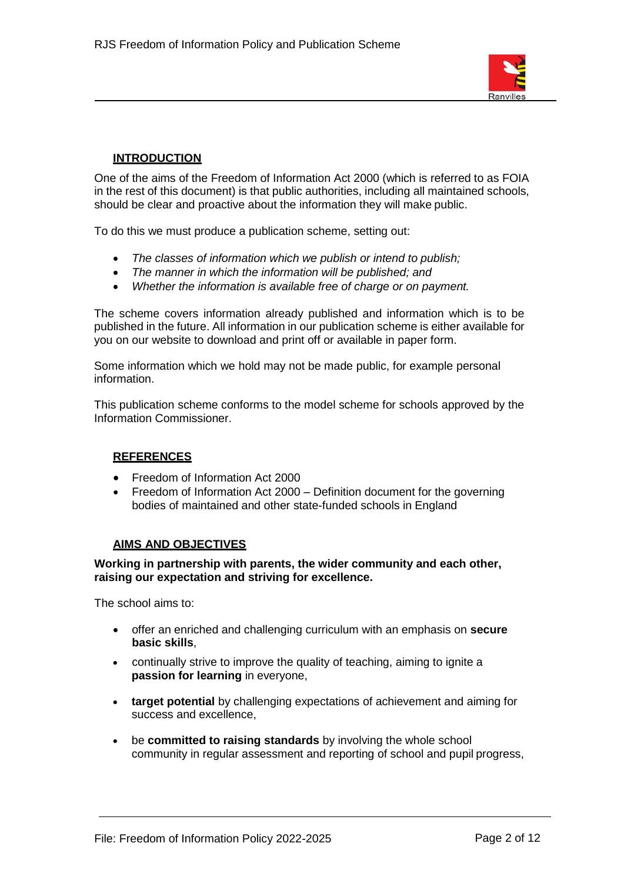

#### **INTRODUCTION**

One of the aims of the Freedom of Information Act 2000 (which is referred to as FOIA in the rest of this document) is that public authorities, including all maintained schools, should be clear and proactive about the information they will make public.

To do this we must produce a publication scheme, setting out:

- *The classes of information which we publish or intend to publish;*
- *The manner in which the information will be published; and*
- *Whether the information is available free of charge or on payment.*

The scheme covers information already published and information which is to be published in the future. All information in our publication scheme is either available for you on our website to download and print off or available in paper form.

Some information which we hold may not be made public, for example personal information.

This publication scheme conforms to the model scheme for schools approved by the Information Commissioner.

#### **REFERENCES**

- Freedom of Information Act 2000
- Freedom of Information Act 2000 Definition document for the governing bodies of maintained and other state-funded schools in England

#### **AIMS AND OBJECTIVES**

**Working in partnership with parents, the wider community and each other, raising our expectation and striving for excellence.**

The school aims to:

- offer an enriched and challenging curriculum with an emphasis on **secure basic skills**,
- continually strive to improve the quality of teaching, aiming to ignite a **passion for learning** in everyone,
- **target potential** by challenging expectations of achievement and aiming for success and excellence,
- be **committed to raising standards** by involving the whole school community in regular assessment and reporting of school and pupil progress,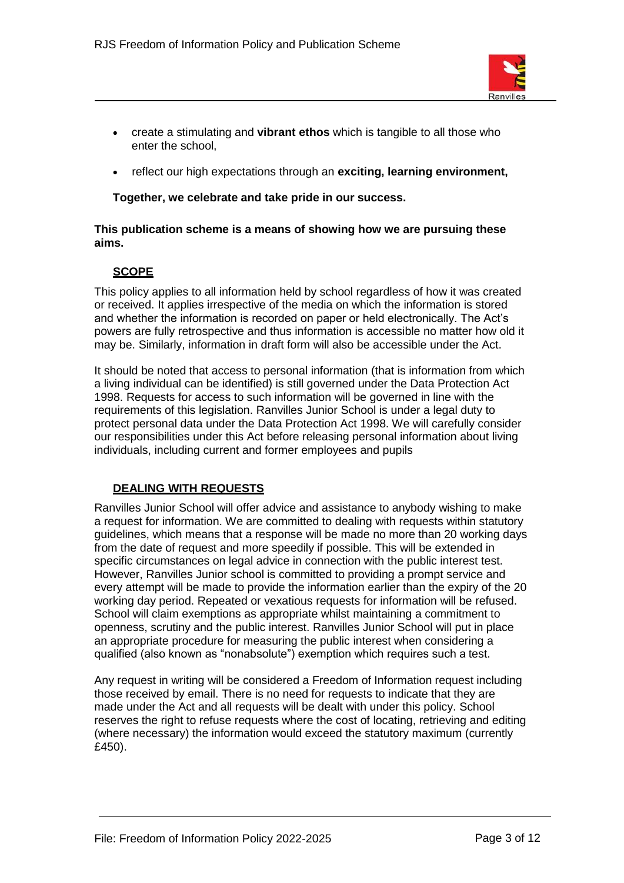

- create a stimulating and **vibrant ethos** which is tangible to all those who enter the school,
- reflect our high expectations through an **exciting, learning environment,**

**Together, we celebrate and take pride in our success.**

#### **This publication scheme is a means of showing how we are pursuing these aims.**

#### **SCOPE**

This policy applies to all information held by school regardless of how it was created or received. It applies irrespective of the media on which the information is stored and whether the information is recorded on paper or held electronically. The Act's powers are fully retrospective and thus information is accessible no matter how old it may be. Similarly, information in draft form will also be accessible under the Act.

It should be noted that access to personal information (that is information from which a living individual can be identified) is still governed under the Data Protection Act 1998. Requests for access to such information will be governed in line with the requirements of this legislation. Ranvilles Junior School is under a legal duty to protect personal data under the Data Protection Act 1998. We will carefully consider our responsibilities under this Act before releasing personal information about living individuals, including current and former employees and pupils

#### **DEALING WITH REQUESTS**

Ranvilles Junior School will offer advice and assistance to anybody wishing to make a request for information. We are committed to dealing with requests within statutory guidelines, which means that a response will be made no more than 20 working days from the date of request and more speedily if possible. This will be extended in specific circumstances on legal advice in connection with the public interest test. However, Ranvilles Junior school is committed to providing a prompt service and every attempt will be made to provide the information earlier than the expiry of the 20 working day period. Repeated or vexatious requests for information will be refused. School will claim exemptions as appropriate whilst maintaining a commitment to openness, scrutiny and the public interest. Ranvilles Junior School will put in place an appropriate procedure for measuring the public interest when considering a qualified (also known as "nonabsolute") exemption which requires such a test.

Any request in writing will be considered a Freedom of Information request including those received by email. There is no need for requests to indicate that they are made under the Act and all requests will be dealt with under this policy. School reserves the right to refuse requests where the cost of locating, retrieving and editing (where necessary) the information would exceed the statutory maximum (currently £450).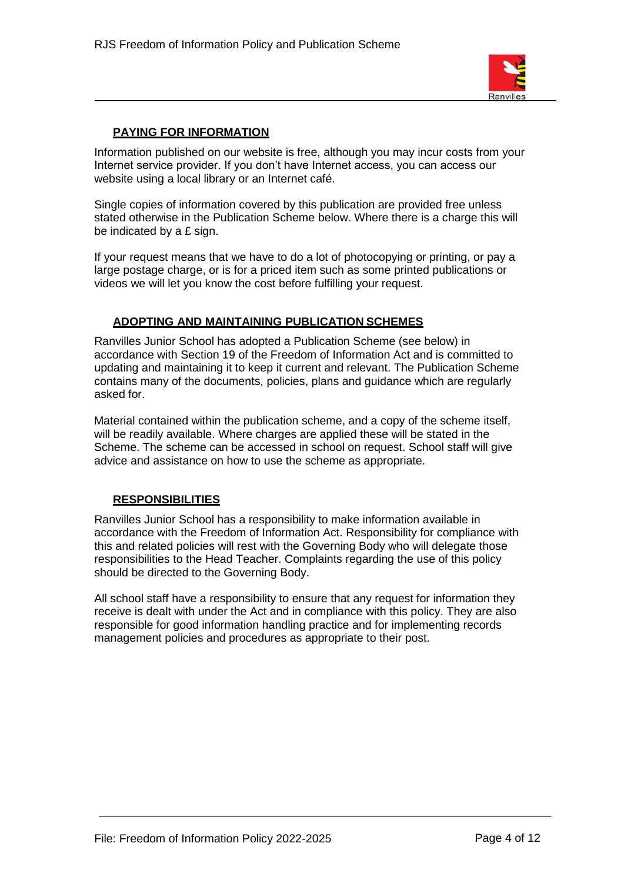

#### **PAYING FOR INFORMATION**

Information published on our website is free, although you may incur costs from your Internet service provider. If you don't have Internet access, you can access our website using a local library or an Internet café.

Single copies of information covered by this publication are provided free unless stated otherwise in the Publication Scheme below. Where there is a charge this will be indicated by a £ sign.

If your request means that we have to do a lot of photocopying or printing, or pay a large postage charge, or is for a priced item such as some printed publications or videos we will let you know the cost before fulfilling your request.

#### **ADOPTING AND MAINTAINING PUBLICATION SCHEMES**

Ranvilles Junior School has adopted a Publication Scheme (see below) in accordance with Section 19 of the Freedom of Information Act and is committed to updating and maintaining it to keep it current and relevant. The Publication Scheme contains many of the documents, policies, plans and guidance which are regularly asked for.

Material contained within the publication scheme, and a copy of the scheme itself, will be readily available. Where charges are applied these will be stated in the Scheme. The scheme can be accessed in school on request. School staff will give advice and assistance on how to use the scheme as appropriate.

#### **RESPONSIBILITIES**

Ranvilles Junior School has a responsibility to make information available in accordance with the Freedom of Information Act. Responsibility for compliance with this and related policies will rest with the Governing Body who will delegate those responsibilities to the Head Teacher. Complaints regarding the use of this policy should be directed to the Governing Body.

All school staff have a responsibility to ensure that any request for information they receive is dealt with under the Act and in compliance with this policy. They are also responsible for good information handling practice and for implementing records management policies and procedures as appropriate to their post.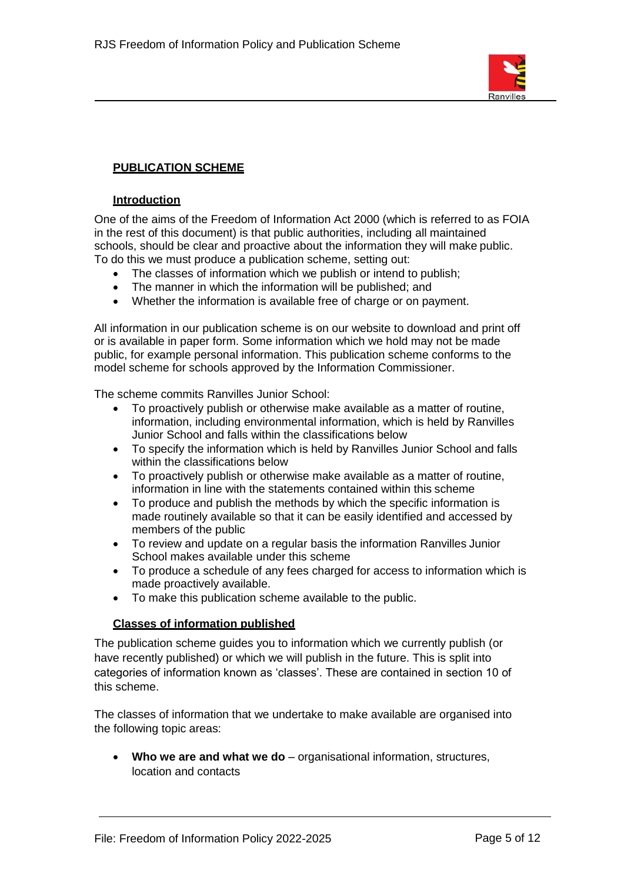

### **PUBLICATION SCHEME**

#### **Introduction**

One of the aims of the Freedom of Information Act 2000 (which is referred to as FOIA in the rest of this document) is that public authorities, including all maintained schools, should be clear and proactive about the information they will make public. To do this we must produce a publication scheme, setting out:

- The classes of information which we publish or intend to publish;
- The manner in which the information will be published; and
- Whether the information is available free of charge or on payment.

All information in our publication scheme is on our website to download and print off or is available in paper form. Some information which we hold may not be made public, for example personal information. This publication scheme conforms to the model scheme for schools approved by the Information Commissioner.

The scheme commits Ranvilles Junior School:

- To proactively publish or otherwise make available as a matter of routine, information, including environmental information, which is held by Ranvilles Junior School and falls within the classifications below
- To specify the information which is held by Ranvilles Junior School and falls within the classifications below
- To proactively publish or otherwise make available as a matter of routine, information in line with the statements contained within this scheme
- To produce and publish the methods by which the specific information is made routinely available so that it can be easily identified and accessed by members of the public
- To review and update on a regular basis the information Ranvilles Junior School makes available under this scheme
- To produce a schedule of any fees charged for access to information which is made proactively available.
- To make this publication scheme available to the public.

#### **Classes of information published**

The publication scheme guides you to information which we currently publish (or have recently published) or which we will publish in the future. This is split into categories of information known as 'classes'. These are contained in section 10 of this scheme.

The classes of information that we undertake to make available are organised into the following topic areas:

Who we are and what we do – organisational information, structures, location and contacts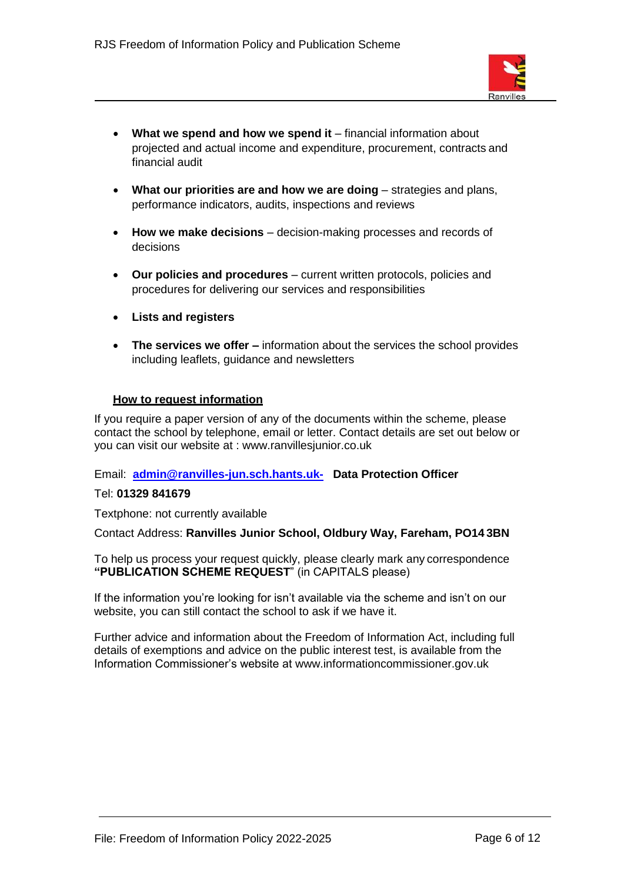

- What we spend and how we spend it financial information about projected and actual income and expenditure, procurement, contracts and financial audit
- **What our priorities are and how we are doing strategies and plans,** performance indicators, audits, inspections and reviews
- **How we make decisions**  decision-making processes and records of decisions
- **Our policies and procedures**  current written protocols, policies and procedures for delivering our services and responsibilities
- **Lists and registers**
- **The services we offer –** information about the services the school provides including leaflets, guidance and newsletters

#### **How to request information**

If you require a paper version of any of the documents within the scheme, please contact the school by telephone, email or letter. Contact details are set out below or you can visit our website at : [www.ranvillesjunior.co.uk](http://www.ranvillesjunior.co.uk/)

#### Email: **[admin@ranvilles-jun.sch.hants.uk-](mailto:admin@ranvilles-jun.sch.hants.uk-) Data Protection Officer**

#### Tel: **01329 841679**

Textphone: not currently available

Contact Address: **Ranvilles Junior School, Oldbury Way, Fareham, PO14 3BN**

To help us process your request quickly, please clearly mark any correspondence **"PUBLICATION SCHEME REQUEST**" (in CAPITALS please)

If the information you're looking for isn't available via the scheme and isn't on our website, you can still contact the school to ask if we have it.

Further advice and information about the Freedom of Information Act, including full details of exemptions and advice on the public interest test, is available from the Information Commissioner's website at [www.informationcommissioner.gov.uk](http://www.informationcommissioner.gov.uk/)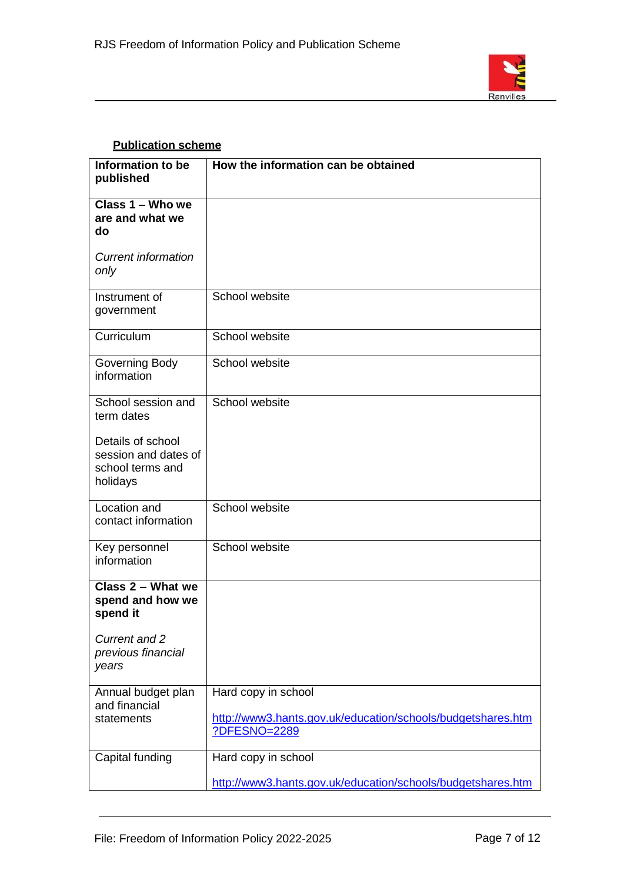

## **Publication scheme**

| Information to be<br>published                                            | How the information can be obtained                                                                |
|---------------------------------------------------------------------------|----------------------------------------------------------------------------------------------------|
| Class 1 - Who we<br>are and what we<br>do                                 |                                                                                                    |
| <b>Current information</b><br>only                                        |                                                                                                    |
| Instrument of<br>government                                               | School website                                                                                     |
| Curriculum                                                                | School website                                                                                     |
| Governing Body<br>information                                             | School website                                                                                     |
| School session and<br>term dates                                          | School website                                                                                     |
| Details of school<br>session and dates of<br>school terms and<br>holidays |                                                                                                    |
| Location and<br>contact information                                       | School website                                                                                     |
| Key personnel<br>information                                              | School website                                                                                     |
| Class 2 - What we<br>spend and how we<br>spend it                         |                                                                                                    |
| Current and 2<br>previous financial<br>years                              |                                                                                                    |
| Annual budget plan<br>and financial<br>statements                         | Hard copy in school<br>http://www3.hants.gov.uk/education/schools/budgetshares.htm<br>?DFESNO=2289 |
| Capital funding                                                           | Hard copy in school<br>http://www3.hants.gov.uk/education/schools/budgetshares.htm                 |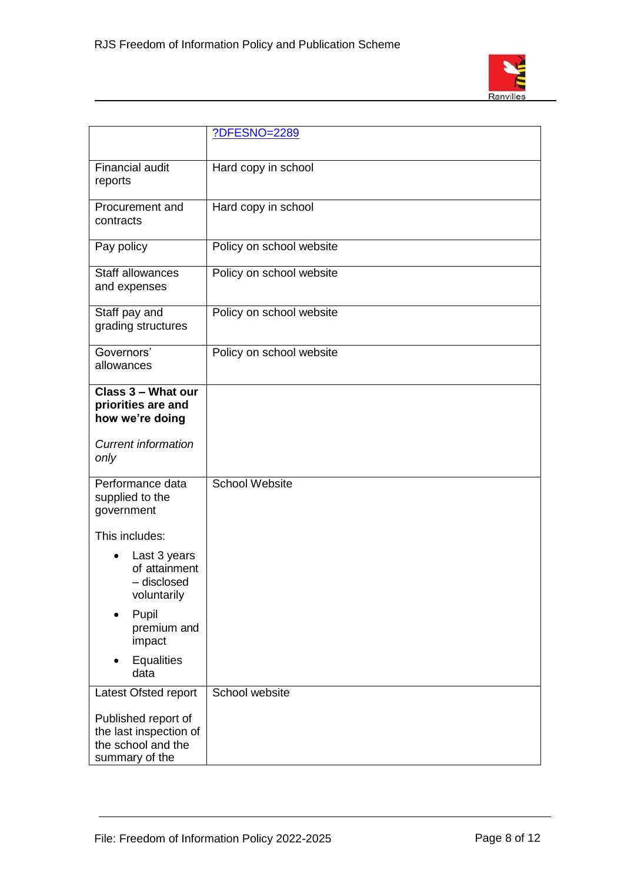

|                                                                                       | ?DFESNO=2289             |
|---------------------------------------------------------------------------------------|--------------------------|
| <b>Financial audit</b><br>reports                                                     | Hard copy in school      |
| Procurement and<br>contracts                                                          | Hard copy in school      |
| Pay policy                                                                            | Policy on school website |
| Staff allowances<br>and expenses                                                      | Policy on school website |
| Staff pay and<br>grading structures                                                   | Policy on school website |
| Governors'<br>allowances                                                              | Policy on school website |
| Class 3 - What our<br>priorities are and<br>how we're doing                           |                          |
| <b>Current information</b><br>only                                                    |                          |
| Performance data<br>supplied to the<br>government                                     | <b>School Website</b>    |
| This includes:                                                                        |                          |
| Last 3 years<br>of attainment<br>- disclosed<br>voluntarily                           |                          |
| Pupil<br>premium and<br>impact                                                        |                          |
| <b>Equalities</b><br>data                                                             |                          |
| Latest Ofsted report                                                                  | School website           |
| Published report of<br>the last inspection of<br>the school and the<br>summary of the |                          |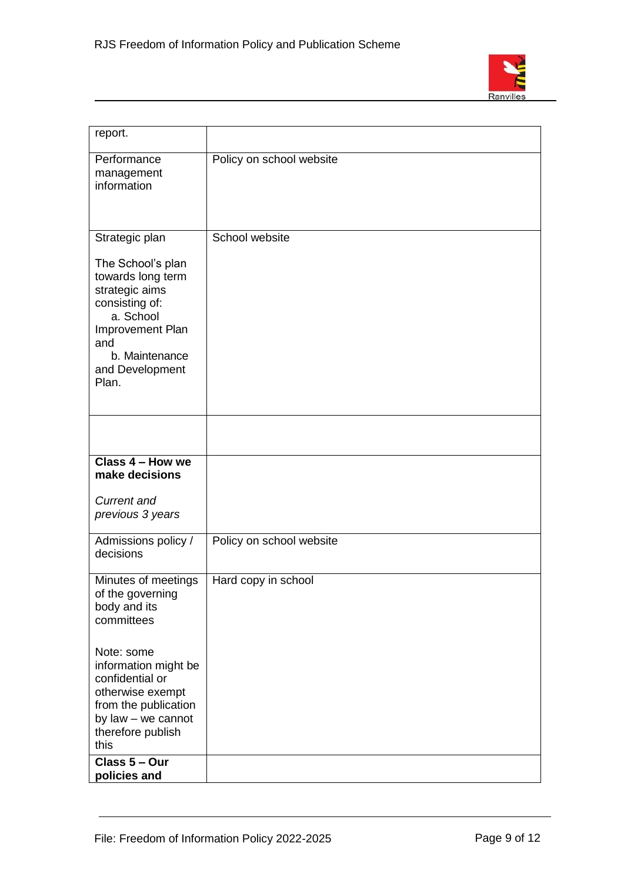

| report.                                                                                                                                                          |                          |
|------------------------------------------------------------------------------------------------------------------------------------------------------------------|--------------------------|
| Performance<br>management<br>information                                                                                                                         | Policy on school website |
| Strategic plan                                                                                                                                                   | School website           |
| The School's plan<br>towards long term<br>strategic aims<br>consisting of:<br>a. School<br>Improvement Plan<br>and<br>b. Maintenance<br>and Development<br>Plan. |                          |
|                                                                                                                                                                  |                          |
| Class 4 - How we<br>make decisions                                                                                                                               |                          |
| Current and<br>previous 3 years                                                                                                                                  |                          |
| Admissions policy /<br>decisions                                                                                                                                 | Policy on school website |
| Minutes of meetings<br>of the governing<br>body and its<br>committees                                                                                            | Hard copy in school      |
| Note: some<br>information might be<br>confidential or<br>otherwise exempt<br>from the publication<br>by law - we cannot<br>therefore publish<br>this             |                          |
| Class 5 - Our<br>policies and                                                                                                                                    |                          |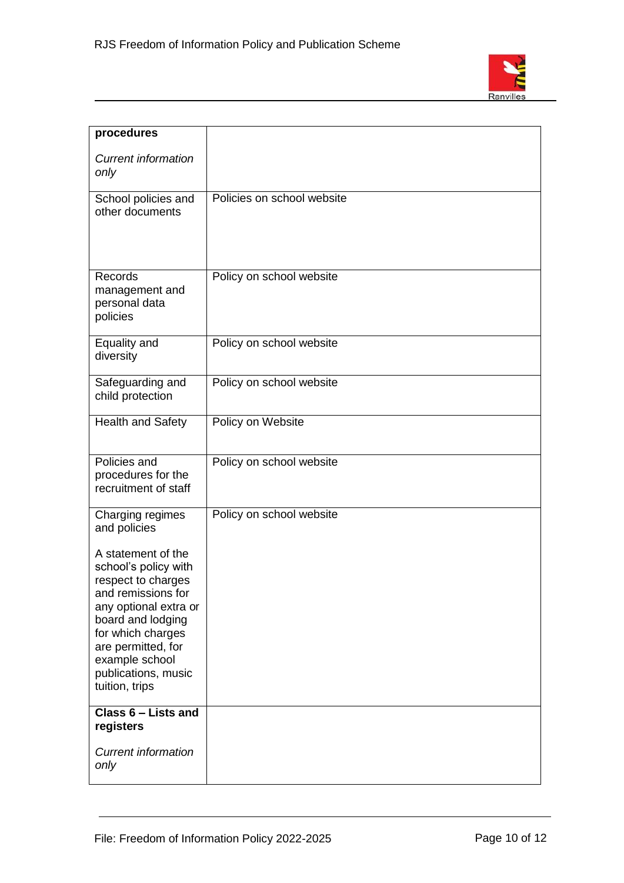

| procedures                                                                                                                                                                                                                                 |                            |
|--------------------------------------------------------------------------------------------------------------------------------------------------------------------------------------------------------------------------------------------|----------------------------|
| <b>Current information</b><br>only                                                                                                                                                                                                         |                            |
| School policies and<br>other documents                                                                                                                                                                                                     | Policies on school website |
| Records<br>management and<br>personal data<br>policies                                                                                                                                                                                     | Policy on school website   |
| Equality and<br>diversity                                                                                                                                                                                                                  | Policy on school website   |
| Safeguarding and<br>child protection                                                                                                                                                                                                       | Policy on school website   |
| <b>Health and Safety</b>                                                                                                                                                                                                                   | Policy on Website          |
| Policies and<br>procedures for the<br>recruitment of staff                                                                                                                                                                                 | Policy on school website   |
| Charging regimes<br>and policies                                                                                                                                                                                                           | Policy on school website   |
| A statement of the<br>school's policy with<br>respect to charges<br>and remissions for<br>any optional extra or<br>board and lodging<br>for which charges<br>are permitted, for<br>example school<br>publications, music<br>tuition, trips |                            |
| Class 6 - Lists and<br>registers                                                                                                                                                                                                           |                            |
| <b>Current information</b><br>only                                                                                                                                                                                                         |                            |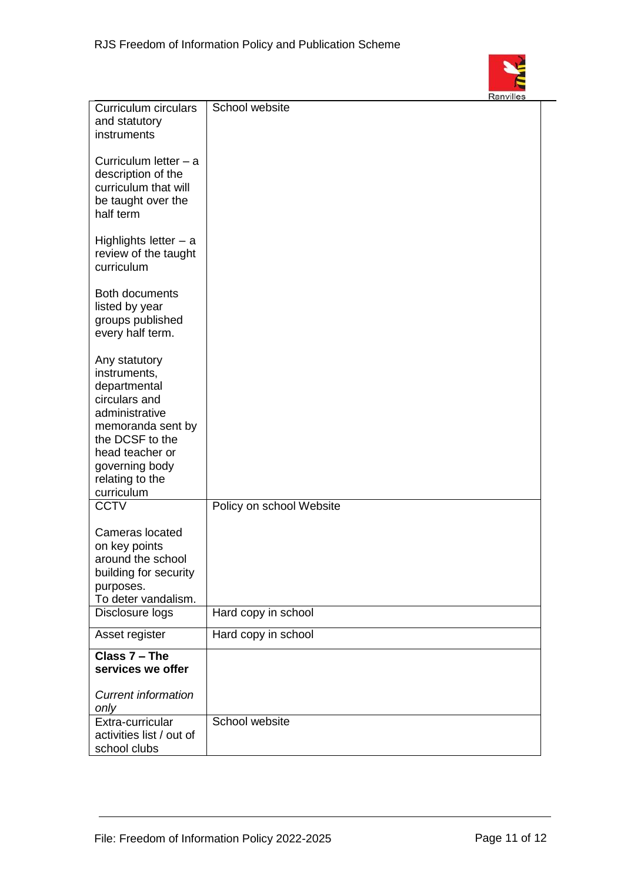

| Curriculum circulars       | School website           |  |
|----------------------------|--------------------------|--|
| and statutory              |                          |  |
| instruments                |                          |  |
|                            |                          |  |
|                            |                          |  |
| Curriculum letter $-$ a    |                          |  |
| description of the         |                          |  |
| curriculum that will       |                          |  |
|                            |                          |  |
| be taught over the         |                          |  |
| half term                  |                          |  |
|                            |                          |  |
| Highlights letter $-$ a    |                          |  |
|                            |                          |  |
| review of the taught       |                          |  |
| curriculum                 |                          |  |
|                            |                          |  |
| Both documents             |                          |  |
| listed by year             |                          |  |
|                            |                          |  |
| groups published           |                          |  |
| every half term.           |                          |  |
|                            |                          |  |
| Any statutory              |                          |  |
| instruments,               |                          |  |
| departmental               |                          |  |
|                            |                          |  |
| circulars and              |                          |  |
| administrative             |                          |  |
| memoranda sent by          |                          |  |
| the DCSF to the            |                          |  |
|                            |                          |  |
| head teacher or            |                          |  |
| governing body             |                          |  |
| relating to the            |                          |  |
| curriculum                 |                          |  |
| <b>CCTV</b>                | Policy on school Website |  |
|                            |                          |  |
| Cameras located            |                          |  |
|                            |                          |  |
| on key points              |                          |  |
| around the school          |                          |  |
| building for security      |                          |  |
| purposes.                  |                          |  |
| To deter vandalism.        |                          |  |
|                            |                          |  |
| Disclosure logs            | Hard copy in school      |  |
| Asset register             | Hard copy in school      |  |
| Class 7 - The              |                          |  |
| services we offer          |                          |  |
|                            |                          |  |
|                            |                          |  |
| <b>Current information</b> |                          |  |
| only                       |                          |  |
| Extra-curricular           | School website           |  |
| activities list / out of   |                          |  |
| school clubs               |                          |  |
|                            |                          |  |